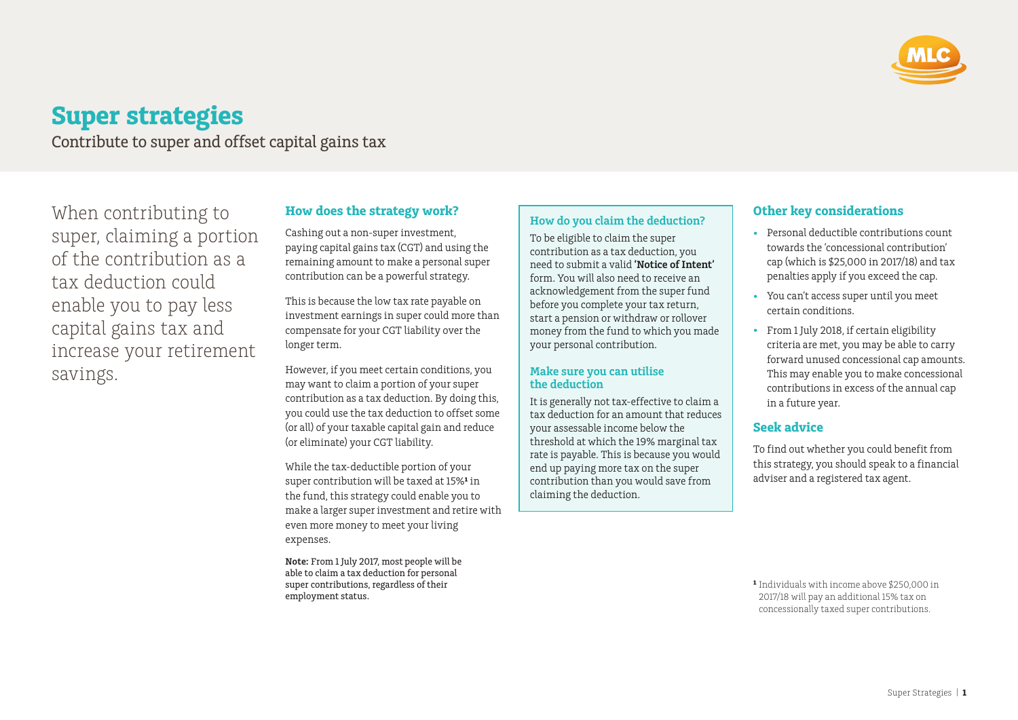

# **Super strategies**

Contribute to super and offset capital gains tax

When contributing to super, claiming a portion of the contribution as a tax deduction could enable you to pay less capital gains tax and increase your retirement savings.

### **How does the strategy work?**

Cashing out a non-super investment, paying capital gains tax (CGT) and using the remaining amount to make a personal super contribution can be a powerful strategy.

This is because the low tax rate payable on investment earnings in super could more than compensate for your CGT liability over the longer term.

However, if you meet certain conditions, you may want to claim a portion of your super contribution as a tax deduction. By doing this, you could use the tax deduction to offset some (or all) of your taxable capital gain and reduce (or eliminate) your CGT liability.

While the tax-deductible portion of your super contribution will be taxed at 15%<sup>1</sup> in the fund, this strategy could enable you to make a larger super investment and retire with even more money to meet your living expenses.

**Note:** From 1 July 2017, most people will be able to claim a tax deduction for personal super contributions, regardless of their employment status.

#### **How do you claim the deduction?**

To be eligible to claim the super contribution as a tax deduction, you need to submit a valid **'Notice of Intent'** form. You will also need to receive an acknowledgement from the super fund before you complete your tax return, start a pension or withdraw or rollover money from the fund to which you made your personal contribution.

#### **Make sure you can utilise the deduction**

It is generally not tax-effective to claim a tax deduction for an amount that reduces your assessable income below the threshold at which the 19% marginal tax rate is payable. This is because you would end up paying more tax on the super contribution than you would save from claiming the deduction.

### **Other key considerations**

- Personal deductible contributions count towards the 'concessional contribution' cap (which is \$25,000 in 2017/18) and tax penalties apply if you exceed the cap.
- You can't access super until you meet certain conditions.
- From 1 July 2018, if certain eligibility criteria are met, you may be able to carry forward unused concessional cap amounts. This may enable you to make concessional contributions in excess of the annual cap in a future year.

## **Seek advice**

To find out whether you could benefit from this strategy, you should speak to a financial adviser and a registered tax agent.

**¹** Individuals with income above \$250,000 in 2017/18 will pay an additional 15% tax on concessionally taxed super contributions.